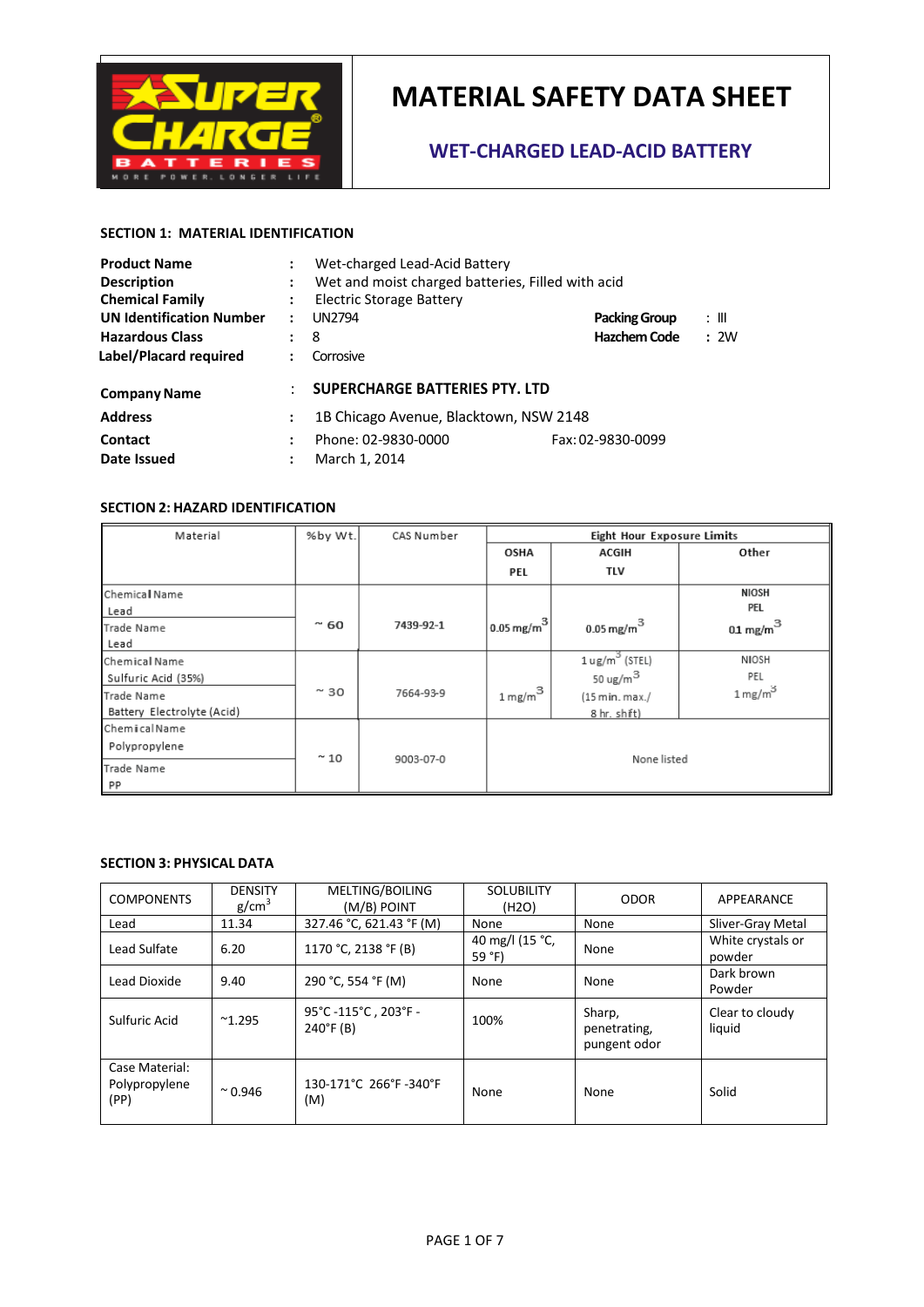

### **WET-CHARGED LEAD-ACID BATTERY**

### **SECTION 1: MATERIAL IDENTIFICATION**

| <b>Product Name</b>             |                      | Wet-charged Lead-Acid Battery                     |                   |      |
|---------------------------------|----------------------|---------------------------------------------------|-------------------|------|
| <b>Description</b>              | $\ddot{\cdot}$       | Wet and moist charged batteries, Filled with acid |                   |      |
| <b>Chemical Family</b>          | $\ddot{\cdot}$       | Electric Storage Battery                          |                   |      |
| <b>UN Identification Number</b> | $\ddot{\cdot}$       | <b>UN2794</b><br><b>Packing Group</b><br>: III    |                   |      |
| <b>Hazardous Class</b>          | $\ddot{\phantom{a}}$ | <b>Hazchem Code</b><br>8                          |                   | : 2W |
| Label/Placard required          |                      | Corrosive                                         |                   |      |
| <b>Company Name</b>             |                      | SUPERCHARGE BATTERIES PTY. LTD                    |                   |      |
| <b>Address</b>                  | $\ddot{\cdot}$       | 1B Chicago Avenue, Blacktown, NSW 2148            |                   |      |
| Contact                         | ÷                    | Phone: 02-9830-0000                               | Fax: 02-9830-0099 |      |
| Date Issued                     | $\ddot{\cdot}$       | March 1, 2014                                     |                   |      |

#### **SECTION 2: HAZARD IDENTIFICATION**

| Material                   | %by Wt.       | CAS Number | <b>Eight Hour Exposure Limits</b> |                           |                     |
|----------------------------|---------------|------------|-----------------------------------|---------------------------|---------------------|
|                            |               |            | OSHA                              | <b>ACGIH</b>              | Other               |
|                            |               |            | PEL                               | TLV                       |                     |
| Chemical Name              |               |            |                                   |                           | NIOSH               |
| Lead                       |               |            |                                   |                           | PEL                 |
| Trade Name                 | 60<br>÷       | 7439-92-1  | 0.05 mg/m $^3$                    | $0.05$ mg/m $^3$          | $01 \text{ mg/m}^3$ |
| Lead                       |               |            |                                   |                           |                     |
| Chemical Name              |               |            |                                   | $1 \text{ ug/m}^3$ (STEL) | NIOSH               |
| Sulfuric Acid (35%)        |               |            |                                   | 50 ug/m $^3$              | PEL                 |
| Trade Name                 | $~\sim$ 30    | 7664-93-9  | $1\,\mathrm{mg/m}^3$ l            | (15 min. max./            | $1 \text{ mg/m}^3$  |
| Battery Electrolyte (Acid) |               |            |                                   | 8 hr. shift)              |                     |
| ChemicalName               |               |            |                                   |                           |                     |
| Polypropylene              |               |            |                                   |                           |                     |
| Trade Name                 | $~^{\sim}$ 10 | 9003-07-0  |                                   | None listed               |                     |
| PP                         |               |            |                                   |                           |                     |

#### **SECTION 3: PHYSICAL DATA**

| <b>COMPONENTS</b>                       | <b>DENSITY</b><br>g/cm <sup>3</sup> | MELTING/BOILING<br>(M/B) POINT            | <b>SOLUBILITY</b><br>(H <sub>2</sub> O) | <b>ODOR</b>                            | APPEARANCE                  |
|-----------------------------------------|-------------------------------------|-------------------------------------------|-----------------------------------------|----------------------------------------|-----------------------------|
| Lead                                    | 11.34                               | 327.46 °C, 621.43 °F (M)                  | <b>None</b>                             | None                                   | Sliver-Gray Metal           |
| Lead Sulfate                            | 6.20                                | 1170 °C, 2138 °F (B)                      | 40 mg/l (15 °C,<br>59 $^{\circ}$ F)     | None                                   | White crystals or<br>powder |
| Lead Dioxide                            | 9.40                                | 290 °C, 554 °F (M)                        | None                                    | None                                   | Dark brown<br>Powder        |
| Sulfuric Acid                           | $^{\sim}1.295$                      | 95°C-115°C, 203°F-<br>$240^{\circ}$ F (B) | 100%                                    | Sharp,<br>penetrating,<br>pungent odor | Clear to cloudy<br>liquid   |
| Case Material:<br>Polypropylene<br>(PP) | $^{\sim}$ 0.946                     | 130-171°C 266°F -340°F<br>(M)             | None                                    | None                                   | Solid                       |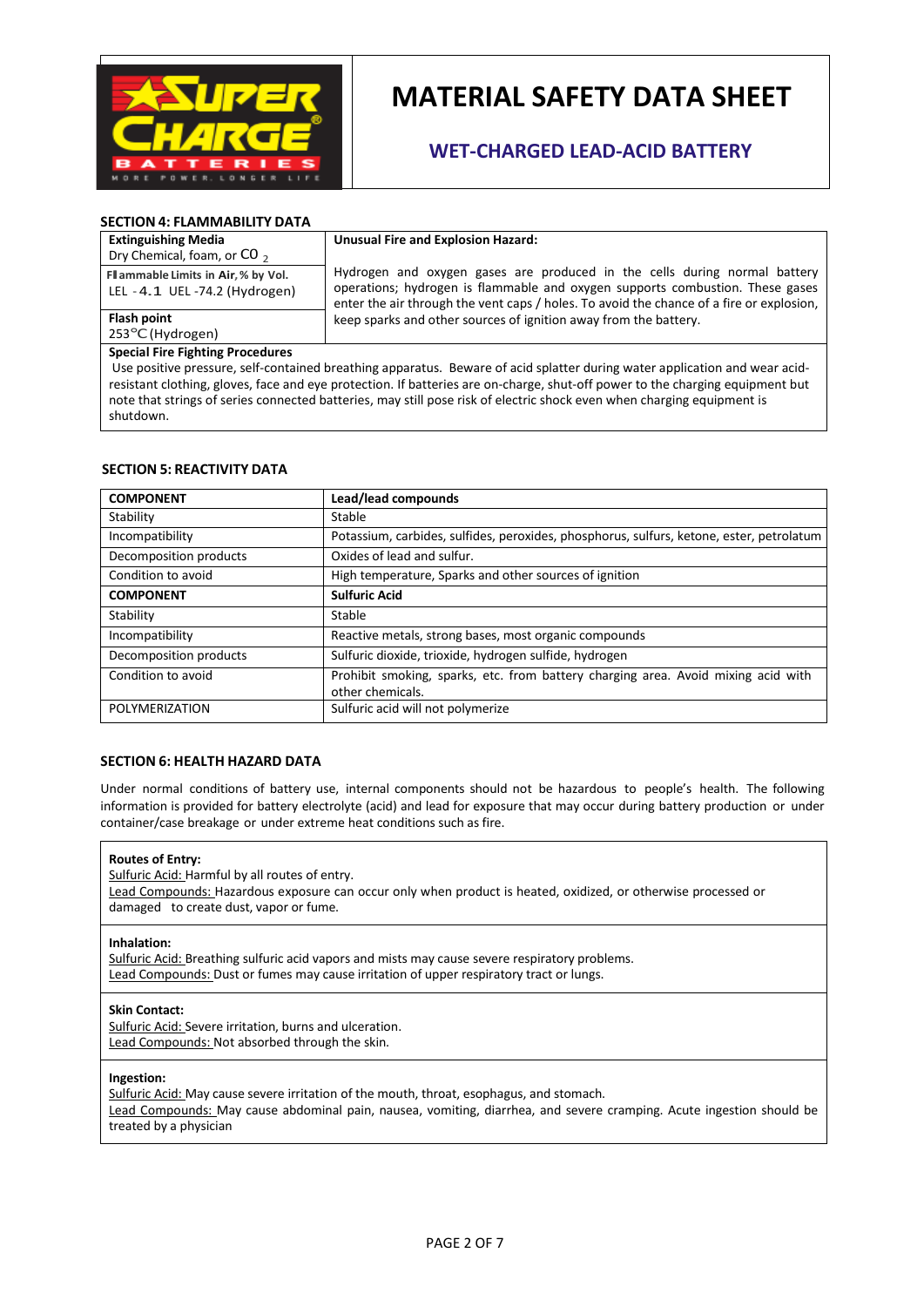

### **WET-CHARGED LEAD-ACID BATTERY**

#### **SECTION 4: FLAMMABILITY DATA**

**Extinguishing Media**  Dry Chemical, foam, or CO<sub>2</sub>

**Flash point** 

| Unusual Fire and Explosion Hazard: |  |
|------------------------------------|--|
|------------------------------------|--|

Hydrogen and oxygen gases are produced in the cells during normal battery operations; hydrogen is flammable and oxygen supports combustion. These gases enter the air through the vent caps / holes. To avoid the chance of a fire or explosion, keep sparks and other sources of ignition away from the battery.

<sup>253</sup>°C (Hydrogen) **Special Fire Fighting Procedures** 

**Flammable Limits in Air, % by Vol.** LEL - 4.1 UEL -74.2 (Hydrogen)

 Use positive pressure, self-contained breathing apparatus. Beware of acid splatter during water application and wear acidresistant clothing, gloves, face and eye protection. If batteries are on-charge, shut-off power to the charging equipment but note that strings of series connected batteries, may still pose risk of electric shock even when charging equipment is shutdown.

#### **SECTION 5: REACTIVITY DATA**

| <b>COMPONENT</b>       | Lead/lead compounds                                                                                   |  |
|------------------------|-------------------------------------------------------------------------------------------------------|--|
| Stability              | Stable                                                                                                |  |
| Incompatibility        | Potassium, carbides, sulfides, peroxides, phosphorus, sulfurs, ketone, ester, petrolatum              |  |
| Decomposition products | Oxides of lead and sulfur.                                                                            |  |
| Condition to avoid     | High temperature, Sparks and other sources of ignition                                                |  |
| <b>COMPONENT</b>       | <b>Sulfuric Acid</b>                                                                                  |  |
| Stability              | Stable                                                                                                |  |
| Incompatibility        | Reactive metals, strong bases, most organic compounds                                                 |  |
| Decomposition products | Sulfuric dioxide, trioxide, hydrogen sulfide, hydrogen                                                |  |
| Condition to avoid     | Prohibit smoking, sparks, etc. from battery charging area. Avoid mixing acid with<br>other chemicals. |  |
| POLYMERIZATION         | Sulfuric acid will not polymerize                                                                     |  |

#### **SECTION 6: HEALTH HAZARD DATA**

Under normal conditions of battery use, internal components should not be hazardous to people's health. The following information is provided for battery electrolyte (acid) and lead for exposure that may occur during battery production or under container/case breakage or under extreme heat conditions such as fire.

#### **Routes of Entry:**

Sulfuric Acid: Harmful by all routes of entry. Lead Compounds: Hazardous exposure can occur only when product is heated, oxidized, or otherwise processed or damaged to create dust, vapor or fume.

#### **Inhalation:**

Sulfuric Acid: Breathing sulfuric acid vapors and mists may cause severe respiratory problems. Lead Compounds: Dust or fumes may cause irritation of upper respiratory tract or lungs.

#### **Skin Contact:**

Sulfuric Acid: Severe irritation, burns and ulceration. Lead Compounds: Not absorbed through the skin.

#### **Ingestion:**

Sulfuric Acid: May cause severe irritation of the mouth, throat, esophagus, and stomach. Lead Compounds: May cause abdominal pain, nausea, vomiting, diarrhea, and severe cramping. Acute ingestion should be treated by a physician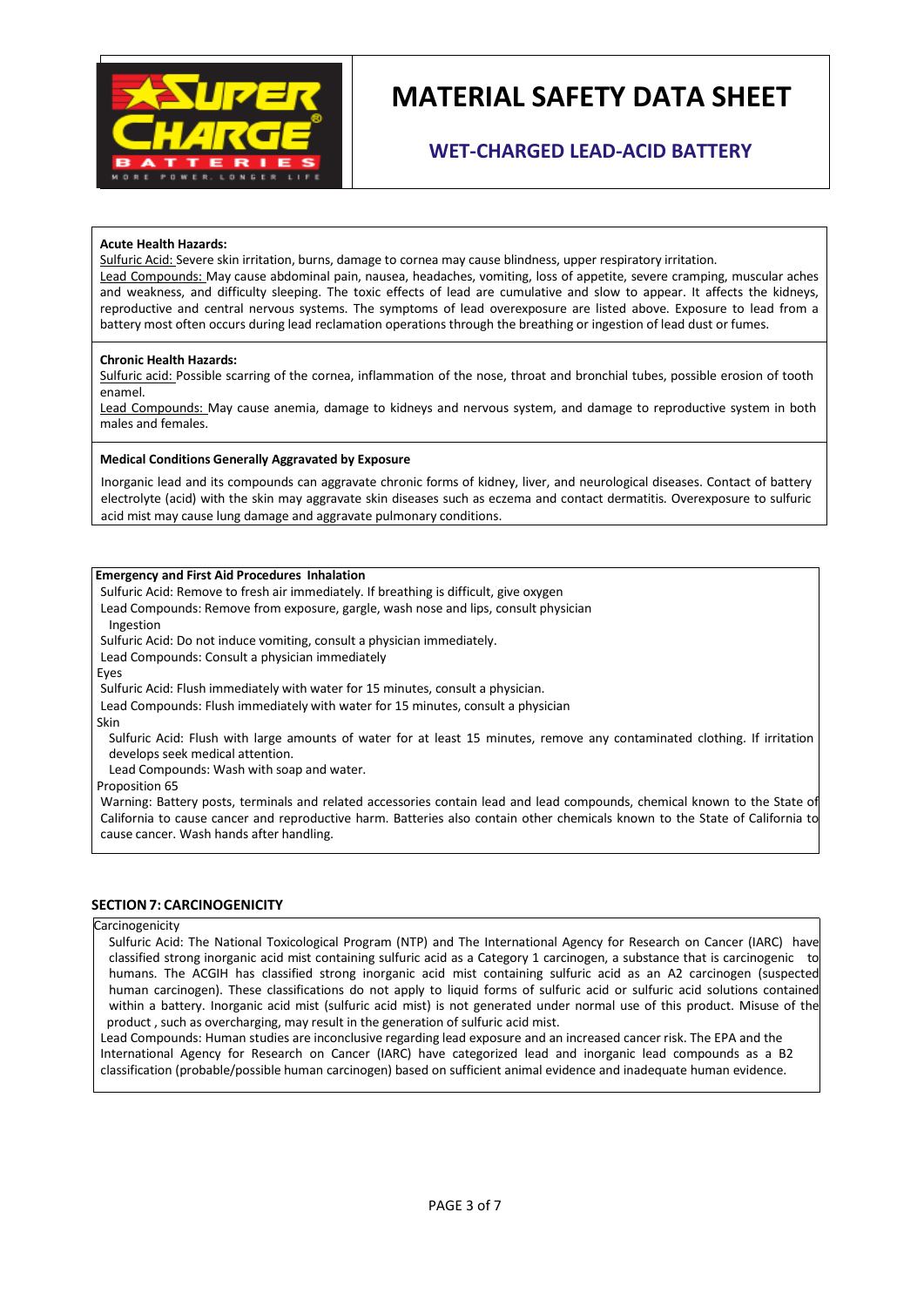

### **WET-CHARGED LEAD-ACID BATTERY**

#### **Acute Health Hazards:**

Sulfuric Acid: Severe skin irritation, burns, damage to cornea may cause blindness, upper respiratory irritation. Lead Compounds: May cause abdominal pain, nausea, headaches, vomiting, loss of appetite, severe cramping, muscular aches and weakness, and difficulty sleeping. The toxic effects of lead are cumulative and slow to appear. It affects the kidneys, reproductive and central nervous systems. The symptoms of lead overexposure are listed above. Exposure to lead from a battery most often occurs during lead reclamation operations through the breathing or ingestion of lead dust or fumes.

#### **Chronic Health Hazards:**

Sulfuric acid: Possible scarring of the cornea, inflammation of the nose, throat and bronchial tubes, possible erosion of tooth enamel.

Lead Compounds: May cause anemia, damage to kidneys and nervous system, and damage to reproductive system in both males and females.

#### **Medical Conditions Generally Aggravated by Exposure**

Inorganic lead and its compounds can aggravate chronic forms of kidney, liver, and neurological diseases. Contact of battery electrolyte (acid) with the skin may aggravate skin diseases such as eczema and contact dermatitis. Overexposure to sulfuric acid mist may cause lung damage and aggravate pulmonary conditions.

#### **Emergency and First Aid Procedures Inhalation**

Sulfuric Acid: Remove to fresh air immediately. If breathing is difficult, give oxygen

Lead Compounds: Remove from exposure, gargle, wash nose and lips, consult physician Ingestion

Sulfuric Acid: Do not induce vomiting, consult a physician immediately.

Lead Compounds: Consult a physician immediately

Eyes

Sulfuric Acid: Flush immediately with water for 15 minutes, consult a physician.

Lead Compounds: Flush immediately with water for 15 minutes, consult a physician

Skin

Sulfuric Acid: Flush with large amounts of water for at least 15 minutes, remove any contaminated clothing. If irritation develops seek medical attention.

Lead Compounds: Wash with soap and water.

Proposition 65

Warning: Battery posts, terminals and related accessories contain lead and lead compounds, chemical known to the State of California to cause cancer and reproductive harm. Batteries also contain other chemicals known to the State of California to cause cancer. Wash hands after handling.

#### **SECTION 7: CARCINOGENICITY**

#### **Carcinogenicity**

Sulfuric Acid: The National Toxicological Program (NTP) and The International Agency for Research on Cancer (IARC) have classified strong inorganic acid mist containing sulfuric acid as a Category 1 carcinogen, a substance that is carcinogenic to humans. The ACGIH has classified strong inorganic acid mist containing sulfuric acid as an A2 carcinogen (suspected human carcinogen). These classifications do not apply to liquid forms of sulfuric acid or sulfuric acid solutions contained within a battery. Inorganic acid mist (sulfuric acid mist) is not generated under normal use of this product. Misuse of the product , such as overcharging, may result in the generation of sulfuric acid mist.

Lead Compounds: Human studies are inconclusive regarding lead exposure and an increased cancer risk. The EPA and the International Agency for Research on Cancer (IARC) have categorized lead and inorganic lead compounds as a B2 classification (probable/possible human carcinogen) based on sufficient animal evidence and inadequate human evidence.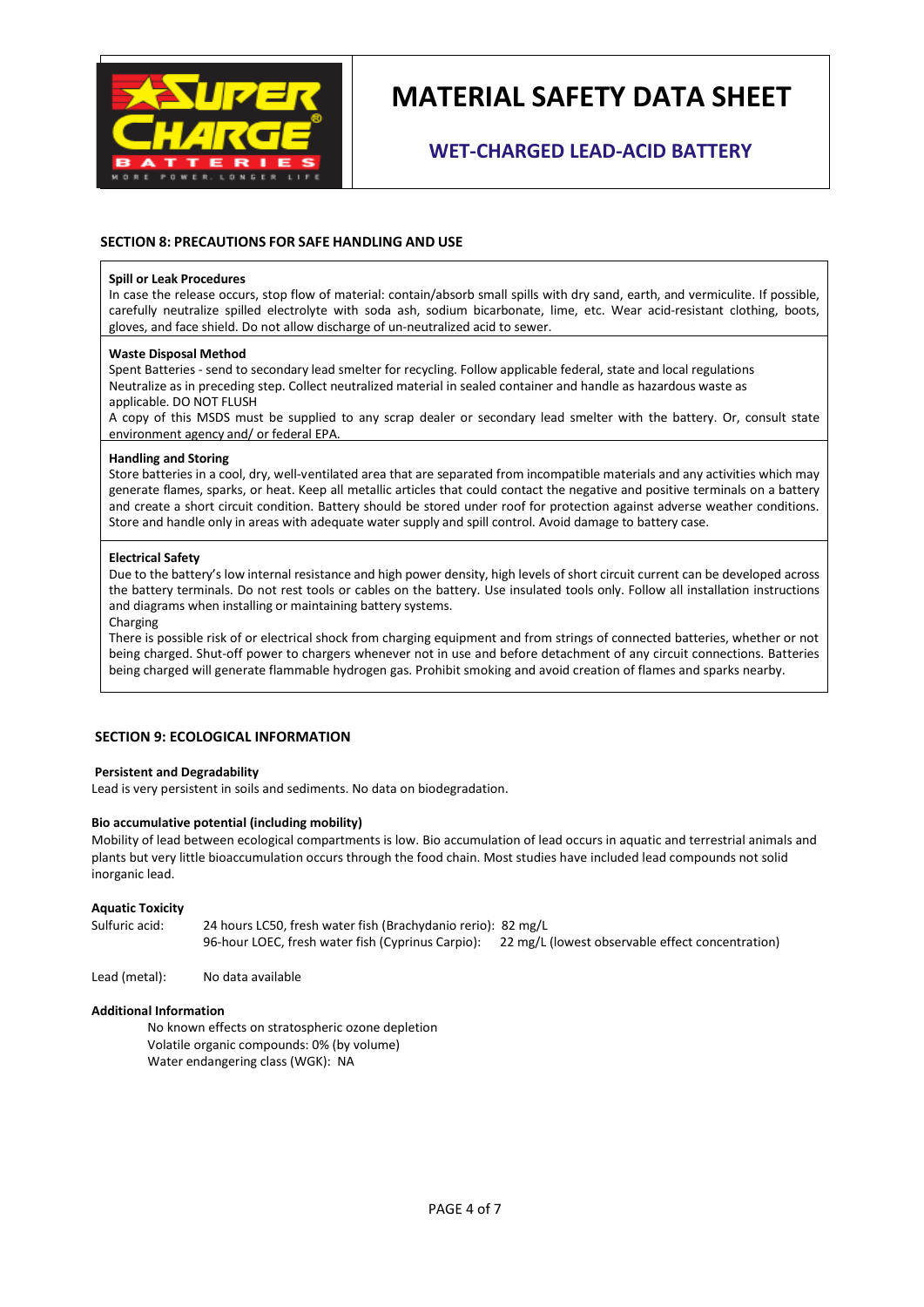

### **WET-CHARGED LEAD-ACID BATTERY**

#### **SECTION 8: PRECAUTIONS FOR SAFE HANDLING AND USE**

#### **Spill or Leak Procedures**

In case the release occurs, stop flow of material: contain/absorb small spills with dry sand, earth, and vermiculite. If possible, carefully neutralize spilled electrolyte with soda ash, sodium bicarbonate, lime, etc. Wear acid-resistant clothing, boots, gloves, and face shield. Do not allow discharge of un-neutralized acid to sewer.

#### **Waste Disposal Method**

Spent Batteries - send to secondary lead smelter for recycling. Follow applicable federal, state and local regulations Neutralize as in preceding step. Collect neutralized material in sealed container and handle as hazardous waste as applicable. DO NOT FLUSH

A copy of this MSDS must be supplied to any scrap dealer or secondary lead smelter with the battery. Or, consult state environment agency and/ or federal EPA.

#### **Handling and Storing**

Store batteries in a cool, dry, well-ventilated area that are separated from incompatible materials and any activities which may generate flames, sparks, or heat. Keep all metallic articles that could contact the negative and positive terminals on a battery and create a short circuit condition. Battery should be stored under roof for protection against adverse weather conditions. Store and handle only in areas with adequate water supply and spill control. Avoid damage to battery case.

#### **Electrical Safety**

Due to the battery's low internal resistance and high power density, high levels of short circuit current can be developed across the battery terminals. Do not rest tools or cables on the battery. Use insulated tools only. Follow all installation instructions and diagrams when installing or maintaining battery systems.

#### Charging

There is possible risk of or electrical shock from charging equipment and from strings of connected batteries, whether or not being charged. Shut-off power to chargers whenever not in use and before detachment of any circuit connections. Batteries being charged will generate flammable hydrogen gas. Prohibit smoking and avoid creation of flames and sparks nearby.

#### **SECTION 9: ECOLOGICAL INFORMATION**

#### **Persistent and Degradability**

Lead is very persistent in soils and sediments. No data on biodegradation.

#### **Bio accumulative potential (including mobility)**

Mobility of lead between ecological compartments is low. Bio accumulation of lead occurs in aquatic and terrestrial animals and plants but very little bioaccumulation occurs through the food chain. Most studies have included lead compounds not solid inorganic lead.

**Aquatic Toxicity**  24 hours LC50, fresh water fish (Brachydanio rerio): 82 mg/L 96-hour LOEC, fresh water fish (Cyprinus Carpio): 22 mg/L (lowest observable effect concentration)

Lead (metal): No data available

#### **Additional Information**

 No known effects on stratospheric ozone depletion Volatile organic compounds: 0% (by volume) Water endangering class (WGK): NA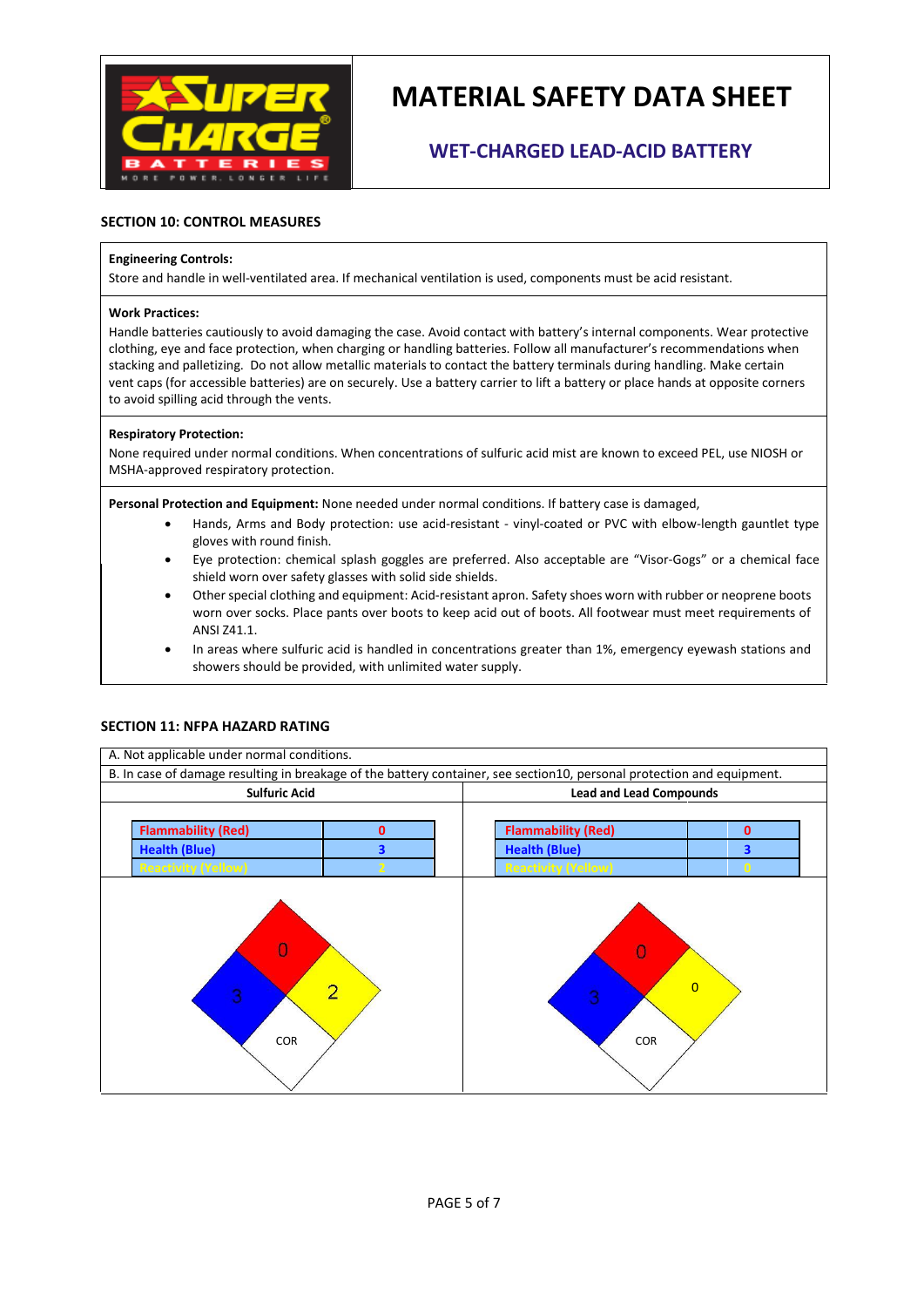

## **WET-CHARGED LEAD-ACID BATTERY**

#### **SECTION 10: CONTROL MEASURES**

#### **Engineering Controls:**

Store and handle in well-ventilated area. If mechanical ventilation is used, components must be acid resistant.

#### **Work Practices:**

Handle batteries cautiously to avoid damaging the case. Avoid contact with battery's internal components. Wear protective clothing, eye and face protection, when charging or handling batteries. Follow all manufacturer's recommendations when stacking and palletizing. Do not allow metallic materials to contact the battery terminals during handling. Make certain vent caps (for accessible batteries) are on securely. Use a battery carrier to lift a battery or place hands at opposite corners to avoid spilling acid through the vents.

#### **Respiratory Protection:**

None required under normal conditions. When concentrations of sulfuric acid mist are known to exceed PEL, use NIOSH or MSHA-approved respiratory protection.

**Personal Protection and Equipment:** None needed under normal conditions. If battery case is damaged,

- Hands, Arms and Body protection: use acid-resistant vinyl-coated or PVC with elbow-length gauntlet type gloves with round finish.
- Eye protection: chemical splash goggles are preferred. Also acceptable are "Visor-Gogs" or a chemical face shield worn over safety glasses with solid side shields.
- Other special clothing and equipment: Acid-resistant apron. Safety shoes worn with rubber or neoprene boots worn over socks. Place pants over boots to keep acid out of boots. All footwear must meet requirements of ANSI Z41.1.
- In areas where sulfuric acid is handled in concentrations greater than 1%, emergency eyewash stations and showers should be provided, with unlimited water supply.



#### **SECTION 11: NFPA HAZARD RATING**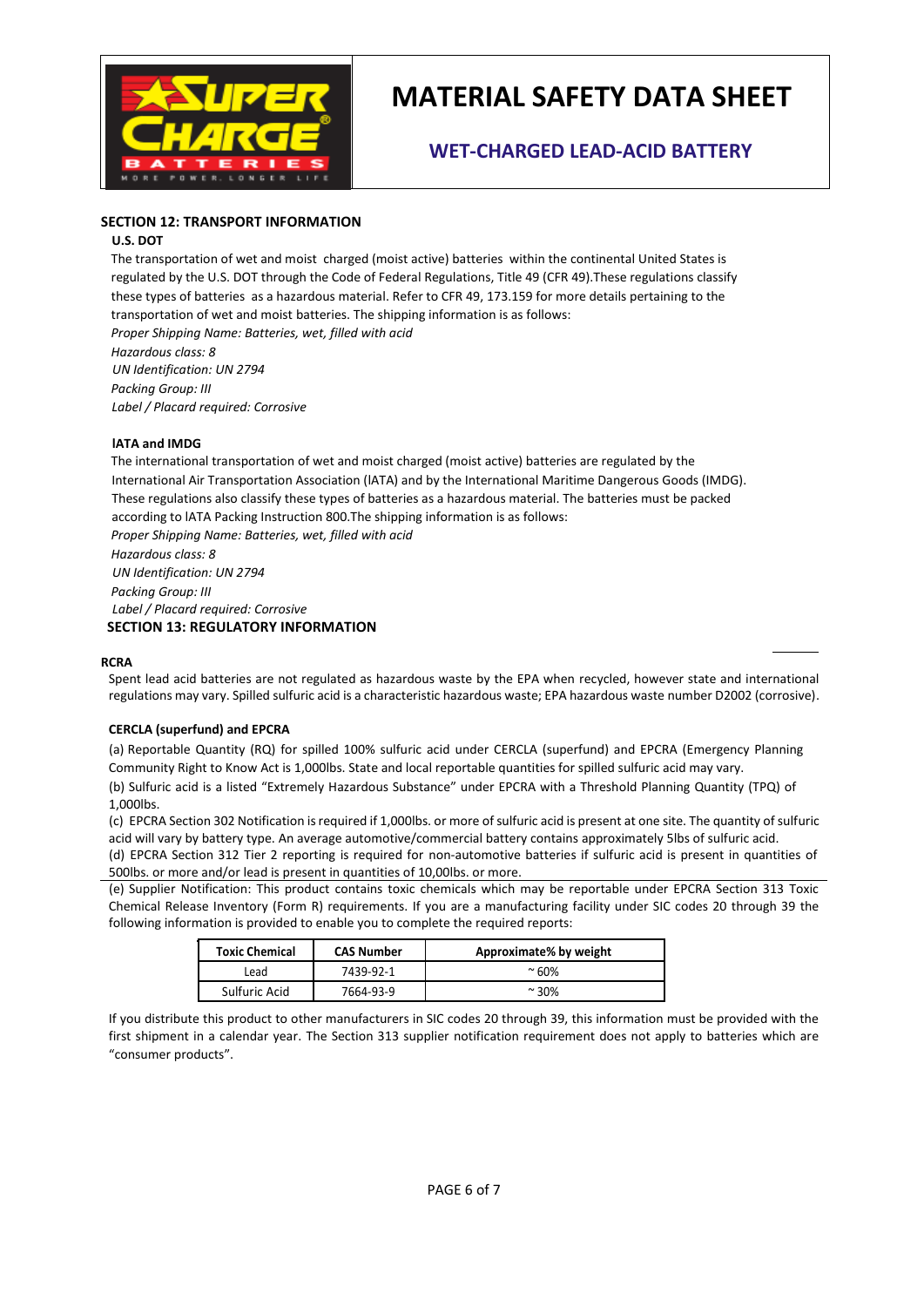

### **WET-CHARGED LEAD-ACID BATTERY**

#### **SECTION 12: TRANSPORT INFORMATION**

#### **U.S. DOT**

The transportation of wet and moist charged (moist active) batteries within the continental United States is regulated by the U.S. DOT through the Code of Federal Regulations, Title 49 (CFR 49).These regulations classify these types of batteries as a hazardous material. Refer to CFR 49, 173.159 for more details pertaining to the transportation of wet and moist batteries. The shipping information is as follows: *Proper Shipping Name: Batteries, wet, filled with acid Hazardous class: 8 UN Identification: UN 2794 Packing Group: III Label / Placard required: Corrosive* 

#### **lATA and IMDG**

The international transportation of wet and moist charged (moist active) batteries are regulated by the International Air Transportation Association (lATA) and by the International Maritime Dangerous Goods (IMDG). These regulations also classify these types of batteries as a hazardous material. The batteries must be packed according to lATA Packing Instruction 800.The shipping information is as follows: *Proper Shipping Name: Batteries, wet, filled with acid Hazardous class: 8 UN Identification: UN 2794 Packing Group: III Label / Placard required: Corrosive*   **SECTION 13: REGULATORY INFORMATION** 

#### **RCRA**

Spent lead acid batteries are not regulated as hazardous waste by the EPA when recycled, however state and international regulations may vary. Spilled sulfuric acid is a characteristic hazardous waste; EPA hazardous waste number D2002 (corrosive).

#### **CERCLA (superfund) and EPCRA**

(a) Reportable Quantity (RQ) for spilled 100% sulfuric acid under CERCLA (superfund) and EPCRA (Emergency Planning Community Right to Know Act is 1,000lbs. State and local reportable quantities for spilled sulfuric acid may vary. (b) Sulfuric acid is a listed "Extremely Hazardous Substance" under EPCRA with a Threshold Planning Quantity (TPQ) of 1,000lbs.

(c) EPCRA Section 302 Notification is required if 1,000lbs. or more of sulfuric acid is present at one site. The quantity of sulfuric acid will vary by battery type. An average automotive/commercial battery contains approximately 5lbs of sulfuric acid. (d) EPCRA Section 312 Tier 2 reporting is required for non-automotive batteries if sulfuric acid is present in quantities of 500lbs. or more and/or lead is present in quantities of 10,00lbs. or more.

(e) Supplier Notification: This product contains toxic chemicals which may be reportable under EPCRA Section 313 Toxic Chemical Release Inventory (Form R) requirements. If you are a manufacturing facility under SIC codes 20 through 39 the following information is provided to enable you to complete the required reports:

| <b>Toxic Chemical</b> | <b>CAS Number</b> | Approximate% by weight |
|-----------------------|-------------------|------------------------|
| Lead                  | 7439-92-1         | $~^{\circ}$ 60%        |
| Sulfuric Acid         | 7664-93-9         | $~^{\circ}$ 30%        |

If you distribute this product to other manufacturers in SIC codes 20 through 39, this information must be provided with the first shipment in a calendar year. The Section 313 supplier notification requirement does not apply to batteries which are "consumer products".